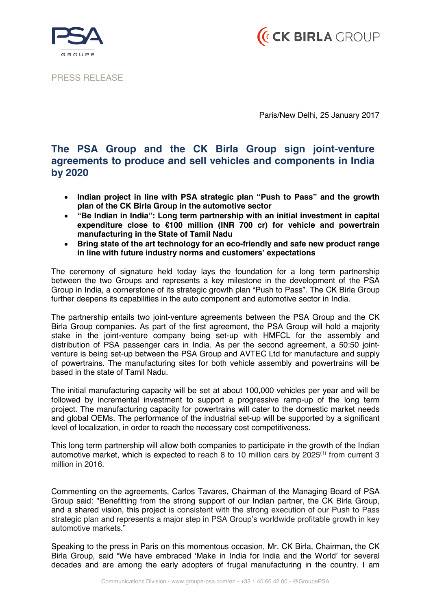



PRESS RELEASE

Paris/New Delhi, 25 January 2017

## **The PSA Group and the CK Birla Group sign joint-venture agreements to produce and sell vehicles and components in India by 2020**

- ! **Indian project in line with PSA strategic plan "Push to Pass" and the growth plan of the CK Birla Group in the automotive sector**
- ! **"Be Indian in India": Long term partnership with an initial investment in capital expenditure close to** €**100 million (INR 700 cr) for vehicle and powertrain manufacturing in the State of Tamil Nadu**
- ! **Bring state of the art technology for an eco-friendly and safe new product range in line with future industry norms and customers' expectations**

The ceremony of signature held today lays the foundation for a long term partnership between the two Groups and represents a key milestone in the development of the PSA Group in India, a cornerstone of its strategic growth plan "Push to Pass". The CK Birla Group further deepens its capabilities in the auto component and automotive sector in India.

The partnership entails two joint-venture agreements between the PSA Group and the CK Birla Group companies. As part of the first agreement, the PSA Group will hold a majority stake in the joint-venture company being set-up with HMFCL for the assembly and distribution of PSA passenger cars in India. As per the second agreement, a 50:50 jointventure is being set-up between the PSA Group and AVTEC Ltd for manufacture and supply of powertrains. The manufacturing sites for both vehicle assembly and powertrains will be based in the state of Tamil Nadu.

The initial manufacturing capacity will be set at about 100,000 vehicles per year and will be followed by incremental investment to support a progressive ramp-up of the long term project. The manufacturing capacity for powertrains will cater to the domestic market needs and global OEMs. The performance of the industrial set-up will be supported by a significant level of localization, in order to reach the necessary cost competitiveness.

This long term partnership will allow both companies to participate in the growth of the Indian automotive market, which is expected to reach 8 to 10 million cars by  $2025<sup>(1)</sup>$  from current 3 million in 2016.

Commenting on the agreements, Carlos Tavares, Chairman of the Managing Board of PSA Group said: "Benefitting from the strong support of our Indian partner, the CK Birla Group, and a shared vision, this project is consistent with the strong execution of our Push to Pass strategic plan and represents a major step in PSA Group's worldwide profitable growth in key automotive markets."

Speaking to the press in Paris on this momentous occasion, Mr. CK Birla, Chairman, the CK Birla Group, said "We have embraced 'Make in India for India and the World' for several decades and are among the early adopters of frugal manufacturing in the country. I am